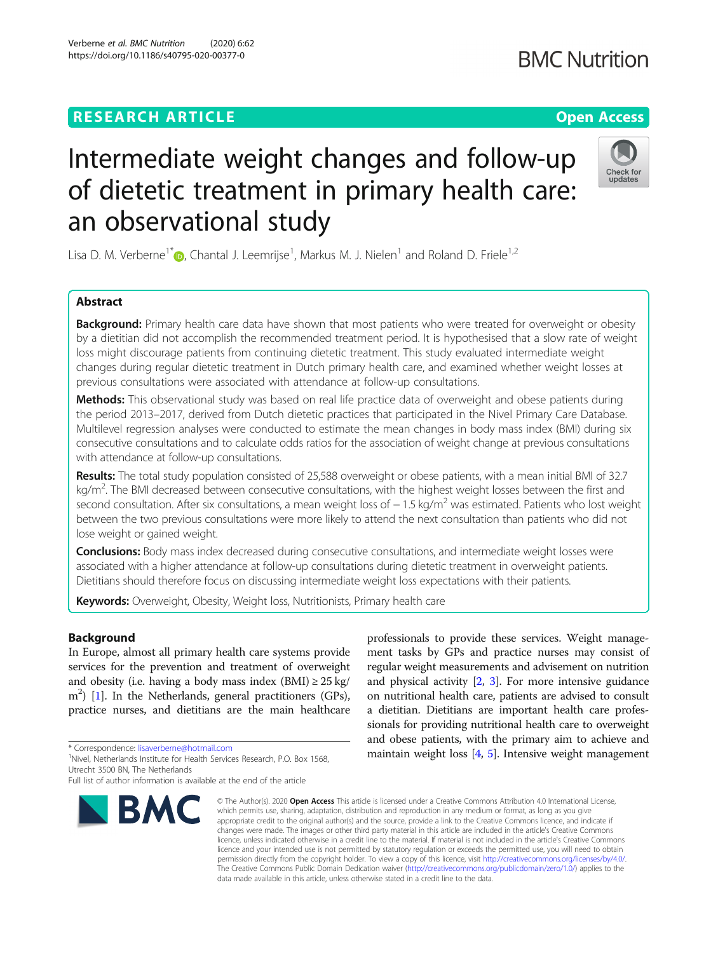## **RESEARCH ARTICLE Example 2014 12:30 The Contract of Contract ACCESS**

# Intermediate weight changes and follow-up of dietetic treatment in primary health care: an observational study

Lisa D. M. Verberne<sup>1\*</sup>®[,](http://orcid.org/0000-0002-8860-0275) Chantal J. Leemrijse<sup>1</sup>, Markus M. J. Nielen<sup>1</sup> and Roland D. Friele<sup>1,2</sup>

### Abstract

Background: Primary health care data have shown that most patients who were treated for overweight or obesity by a dietitian did not accomplish the recommended treatment period. It is hypothesised that a slow rate of weight loss might discourage patients from continuing dietetic treatment. This study evaluated intermediate weight changes during regular dietetic treatment in Dutch primary health care, and examined whether weight losses at previous consultations were associated with attendance at follow-up consultations.

Methods: This observational study was based on real life practice data of overweight and obese patients during the period 2013–2017, derived from Dutch dietetic practices that participated in the Nivel Primary Care Database. Multilevel regression analyses were conducted to estimate the mean changes in body mass index (BMI) during six consecutive consultations and to calculate odds ratios for the association of weight change at previous consultations with attendance at follow-up consultations.

Results: The total study population consisted of 25,588 overweight or obese patients, with a mean initial BMI of 32.7 kg/m<sup>2</sup>. The BMI decreased between consecutive consultations, with the highest weight losses between the first and second consultation. After six consultations, a mean weight loss of  $-1.5$  kg/m<sup>2</sup> was estimated. Patients who lost weight between the two previous consultations were more likely to attend the next consultation than patients who did not lose weight or gained weight.

**Conclusions:** Body mass index decreased during consecutive consultations, and intermediate weight losses were associated with a higher attendance at follow-up consultations during dietetic treatment in overweight patients. Dietitians should therefore focus on discussing intermediate weight loss expectations with their patients.

Keywords: Overweight, Obesity, Weight loss, Nutritionists, Primary health care

#### Background

In Europe, almost all primary health care systems provide services for the prevention and treatment of overweight and obesity (i.e. having a body mass index  $(BMI) \geq 25$  kg/ m<sup>2</sup>) [[1\]](#page-5-0). In the Netherlands, general practitioners (GPs), practice nurses, and dietitians are the main healthcare

\* Correspondence: [lisaverberne@hotmail.com](mailto:lisaverberne@hotmail.com) <sup>1</sup>

<sup>1</sup>Nivel, Netherlands Institute for Health Services Research, P.O. Box 1568, Utrecht 3500 BN, The Netherlands

### Verberne et al. BMC Nutrition (2020) 6:62 https://doi.org/10.1186/s40795-020-00377-0

**BMC** 

professionals to provide these services. Weight management tasks by GPs and practice nurses may consist of regular weight measurements and advisement on nutrition and physical activity  $[2, 3]$  $[2, 3]$  $[2, 3]$  $[2, 3]$ . For more intensive guidance on nutritional health care, patients are advised to consult a dietitian. Dietitians are important health care professionals for providing nutritional health care to overweight and obese patients, with the primary aim to achieve and maintain weight loss [\[4](#page-5-0), [5](#page-5-0)]. Intensive weight management

© The Author(s), 2020 **Open Access** This article is licensed under a Creative Commons Attribution 4.0 International License, which permits use, sharing, adaptation, distribution and reproduction in any medium or format, as long as you give appropriate credit to the original author(s) and the source, provide a link to the Creative Commons licence, and indicate if changes were made. The images or other third party material in this article are included in the article's Creative Commons licence, unless indicated otherwise in a credit line to the material. If material is not included in the article's Creative Commons licence and your intended use is not permitted by statutory regulation or exceeds the permitted use, you will need to obtain permission directly from the copyright holder. To view a copy of this licence, visit [http://creativecommons.org/licenses/by/4.0/.](http://creativecommons.org/licenses/by/4.0/) The Creative Commons Public Domain Dedication waiver [\(http://creativecommons.org/publicdomain/zero/1.0/](http://creativecommons.org/publicdomain/zero/1.0/)) applies to the data made available in this article, unless otherwise stated in a credit line to the data.



## **BMC Nutrition**

Full list of author information is available at the end of the article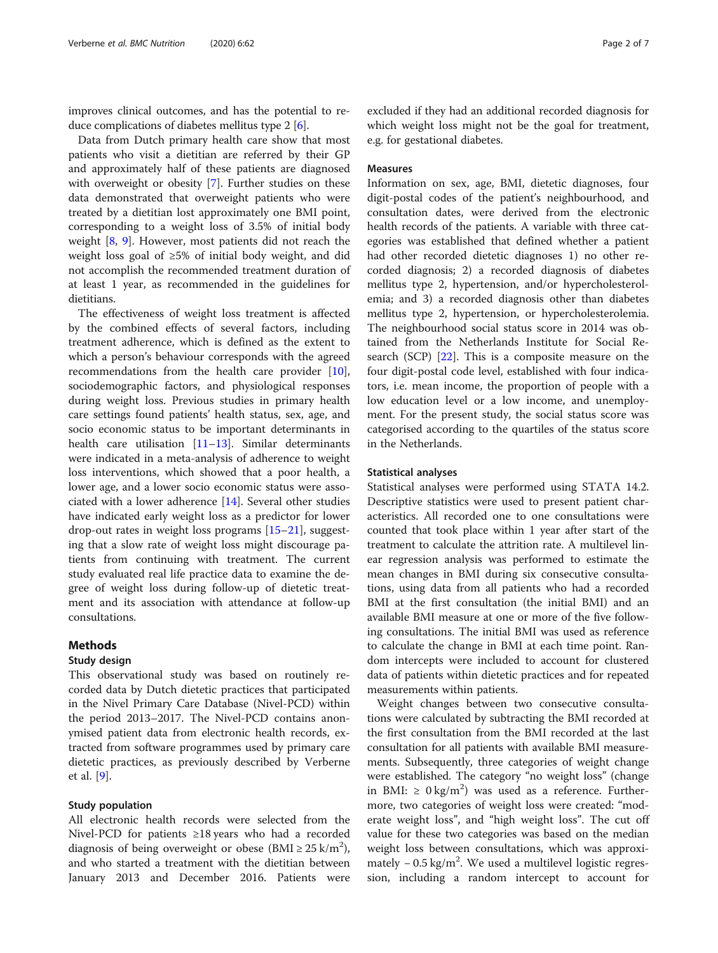improves clinical outcomes, and has the potential to reduce complications of diabetes mellitus type 2 [[6](#page-5-0)].

Data from Dutch primary health care show that most patients who visit a dietitian are referred by their GP and approximately half of these patients are diagnosed with overweight or obesity [[7\]](#page-5-0). Further studies on these data demonstrated that overweight patients who were treated by a dietitian lost approximately one BMI point, corresponding to a weight loss of 3.5% of initial body weight [[8,](#page-5-0) [9](#page-5-0)]. However, most patients did not reach the weight loss goal of ≥5% of initial body weight, and did not accomplish the recommended treatment duration of at least 1 year, as recommended in the guidelines for dietitians.

The effectiveness of weight loss treatment is affected by the combined effects of several factors, including treatment adherence, which is defined as the extent to which a person's behaviour corresponds with the agreed recommendations from the health care provider [\[10](#page-5-0)], sociodemographic factors, and physiological responses during weight loss. Previous studies in primary health care settings found patients' health status, sex, age, and socio economic status to be important determinants in health care utilisation  $[11–13]$  $[11–13]$  $[11–13]$ . Similar determinants were indicated in a meta-analysis of adherence to weight loss interventions, which showed that a poor health, a lower age, and a lower socio economic status were associated with a lower adherence [[14\]](#page-5-0). Several other studies have indicated early weight loss as a predictor for lower drop-out rates in weight loss programs [\[15](#page-5-0)–[21\]](#page-6-0), suggesting that a slow rate of weight loss might discourage patients from continuing with treatment. The current study evaluated real life practice data to examine the degree of weight loss during follow-up of dietetic treatment and its association with attendance at follow-up consultations.

#### Methods

#### Study design

This observational study was based on routinely recorded data by Dutch dietetic practices that participated in the Nivel Primary Care Database (Nivel-PCD) within the period 2013–2017. The Nivel-PCD contains anonymised patient data from electronic health records, extracted from software programmes used by primary care dietetic practices, as previously described by Verberne et al. [\[9](#page-5-0)].

#### Study population

All electronic health records were selected from the Nivel-PCD for patients ≥18 years who had a recorded diagnosis of being overweight or obese (BMI  $\geq$  25 k/m<sup>2</sup>), and who started a treatment with the dietitian between January 2013 and December 2016. Patients were

excluded if they had an additional recorded diagnosis for which weight loss might not be the goal for treatment, e.g. for gestational diabetes.

#### Measures

Information on sex, age, BMI, dietetic diagnoses, four digit-postal codes of the patient's neighbourhood, and consultation dates, were derived from the electronic health records of the patients. A variable with three categories was established that defined whether a patient had other recorded dietetic diagnoses 1) no other recorded diagnosis; 2) a recorded diagnosis of diabetes mellitus type 2, hypertension, and/or hypercholesterolemia; and 3) a recorded diagnosis other than diabetes mellitus type 2, hypertension, or hypercholesterolemia. The neighbourhood social status score in 2014 was obtained from the Netherlands Institute for Social Research (SCP) [[22\]](#page-6-0). This is a composite measure on the four digit-postal code level, established with four indicators, i.e. mean income, the proportion of people with a low education level or a low income, and unemployment. For the present study, the social status score was categorised according to the quartiles of the status score in the Netherlands.

#### Statistical analyses

Statistical analyses were performed using STATA 14.2. Descriptive statistics were used to present patient characteristics. All recorded one to one consultations were counted that took place within 1 year after start of the treatment to calculate the attrition rate. A multilevel linear regression analysis was performed to estimate the mean changes in BMI during six consecutive consultations, using data from all patients who had a recorded BMI at the first consultation (the initial BMI) and an available BMI measure at one or more of the five following consultations. The initial BMI was used as reference to calculate the change in BMI at each time point. Random intercepts were included to account for clustered data of patients within dietetic practices and for repeated measurements within patients.

Weight changes between two consecutive consultations were calculated by subtracting the BMI recorded at the first consultation from the BMI recorded at the last consultation for all patients with available BMI measurements. Subsequently, three categories of weight change were established. The category "no weight loss" (change in BMI: ≥ 0 kg/m<sup>2</sup>) was used as a reference. Furthermore, two categories of weight loss were created: "moderate weight loss", and "high weight loss". The cut off value for these two categories was based on the median weight loss between consultations, which was approximately  $-0.5 \text{ kg/m}^2$ . We used a multilevel logistic regression, including a random intercept to account for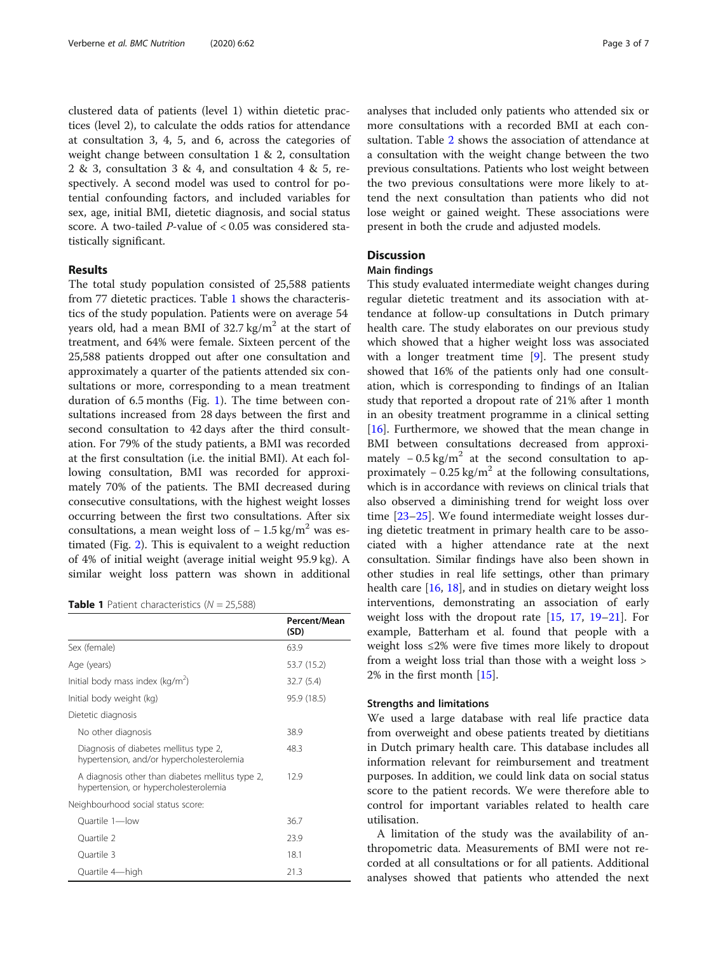clustered data of patients (level 1) within dietetic practices (level 2), to calculate the odds ratios for attendance at consultation 3, 4, 5, and 6, across the categories of weight change between consultation 1 & 2, consultation 2 & 3, consultation 3 & 4, and consultation 4 & 5, respectively. A second model was used to control for potential confounding factors, and included variables for sex, age, initial BMI, dietetic diagnosis, and social status score. A two-tailed P-value of < 0.05 was considered statistically significant.

#### Results

The total study population consisted of 25,588 patients from 77 dietetic practices. Table 1 shows the characteristics of the study population. Patients were on average 54 years old, had a mean BMI of  $32.7 \text{ kg/m}^2$  at the start of treatment, and 64% were female. Sixteen percent of the 25,588 patients dropped out after one consultation and approximately a quarter of the patients attended six consultations or more, corresponding to a mean treatment duration of 6.5 months (Fig. [1\)](#page-3-0). The time between consultations increased from 28 days between the first and second consultation to 42 days after the third consultation. For 79% of the study patients, a BMI was recorded at the first consultation (i.e. the initial BMI). At each following consultation, BMI was recorded for approximately 70% of the patients. The BMI decreased during consecutive consultations, with the highest weight losses occurring between the first two consultations. After six consultations, a mean weight loss of  $-1.5 \text{ kg/m}^2$  was estimated (Fig. [2\)](#page-4-0). This is equivalent to a weight reduction of 4% of initial weight (average initial weight 95.9 kg). A similar weight loss pattern was shown in additional

**Table 1** Patient characteristics ( $N = 25,588$ )

|                                                                                           | Percent/Mean<br>(SD) |  |  |  |
|-------------------------------------------------------------------------------------------|----------------------|--|--|--|
| Sex (female)                                                                              | 63.9                 |  |  |  |
| Age (years)                                                                               | 53.7 (15.2)          |  |  |  |
| Initial body mass index ( $kg/m2$ )                                                       | 32.7(5.4)            |  |  |  |
| Initial body weight (kg)                                                                  | 95.9 (18.5)          |  |  |  |
| Dietetic diagnosis                                                                        |                      |  |  |  |
| No other diagnosis                                                                        | 38.9                 |  |  |  |
| Diagnosis of diabetes mellitus type 2.<br>hypertension, and/or hypercholesterolemia       | 48.3                 |  |  |  |
| A diagnosis other than diabetes mellitus type 2,<br>hypertension, or hypercholesterolemia | 12.9                 |  |  |  |
| Neighbourhood social status score:                                                        |                      |  |  |  |
| Ouartile 1-low                                                                            | 36.7                 |  |  |  |
| Ouartile 2                                                                                | 23.9                 |  |  |  |
| Quartile 3                                                                                | 18.1                 |  |  |  |
| Quartile 4—high                                                                           | 21.3                 |  |  |  |

analyses that included only patients who attended six or more consultations with a recorded BMI at each consultation. Table [2](#page-4-0) shows the association of attendance at a consultation with the weight change between the two previous consultations. Patients who lost weight between the two previous consultations were more likely to attend the next consultation than patients who did not lose weight or gained weight. These associations were present in both the crude and adjusted models.

#### **Discussion**

#### Main findings

This study evaluated intermediate weight changes during regular dietetic treatment and its association with attendance at follow-up consultations in Dutch primary health care. The study elaborates on our previous study which showed that a higher weight loss was associated with a longer treatment time [[9\]](#page-5-0). The present study showed that 16% of the patients only had one consultation, which is corresponding to findings of an Italian study that reported a dropout rate of 21% after 1 month in an obesity treatment programme in a clinical setting [[16\]](#page-6-0). Furthermore, we showed that the mean change in BMI between consultations decreased from approximately  $-0.5 \text{ kg/m}^2$  at the second consultation to approximately  $-0.25 \text{ kg/m}^2$  at the following consultations, which is in accordance with reviews on clinical trials that also observed a diminishing trend for weight loss over time [[23](#page-6-0)–[25](#page-6-0)]. We found intermediate weight losses during dietetic treatment in primary health care to be associated with a higher attendance rate at the next consultation. Similar findings have also been shown in other studies in real life settings, other than primary health care [[16,](#page-6-0) [18\]](#page-6-0), and in studies on dietary weight loss interventions, demonstrating an association of early weight loss with the dropout rate [\[15](#page-5-0), [17,](#page-6-0) [19](#page-6-0)–[21\]](#page-6-0). For example, Batterham et al. found that people with a weight loss ≤2% were five times more likely to dropout from a weight loss trial than those with a weight loss > 2% in the first month [\[15](#page-5-0)].

#### Strengths and limitations

We used a large database with real life practice data from overweight and obese patients treated by dietitians in Dutch primary health care. This database includes all information relevant for reimbursement and treatment purposes. In addition, we could link data on social status score to the patient records. We were therefore able to control for important variables related to health care utilisation.

A limitation of the study was the availability of anthropometric data. Measurements of BMI were not recorded at all consultations or for all patients. Additional analyses showed that patients who attended the next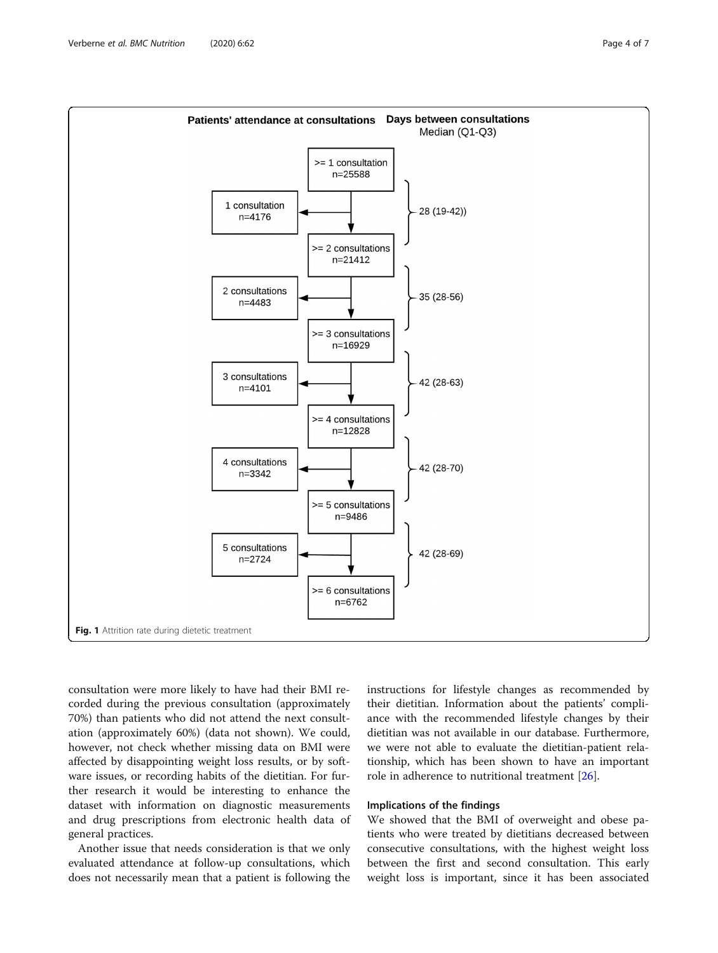<span id="page-3-0"></span>

consultation were more likely to have had their BMI recorded during the previous consultation (approximately 70%) than patients who did not attend the next consultation (approximately 60%) (data not shown). We could, however, not check whether missing data on BMI were affected by disappointing weight loss results, or by software issues, or recording habits of the dietitian. For further research it would be interesting to enhance the dataset with information on diagnostic measurements and drug prescriptions from electronic health data of general practices.

Another issue that needs consideration is that we only evaluated attendance at follow-up consultations, which does not necessarily mean that a patient is following the instructions for lifestyle changes as recommended by their dietitian. Information about the patients' compliance with the recommended lifestyle changes by their dietitian was not available in our database. Furthermore, we were not able to evaluate the dietitian-patient relationship, which has been shown to have an important role in adherence to nutritional treatment [[26](#page-6-0)].

#### Implications of the findings

We showed that the BMI of overweight and obese patients who were treated by dietitians decreased between consecutive consultations, with the highest weight loss between the first and second consultation. This early weight loss is important, since it has been associated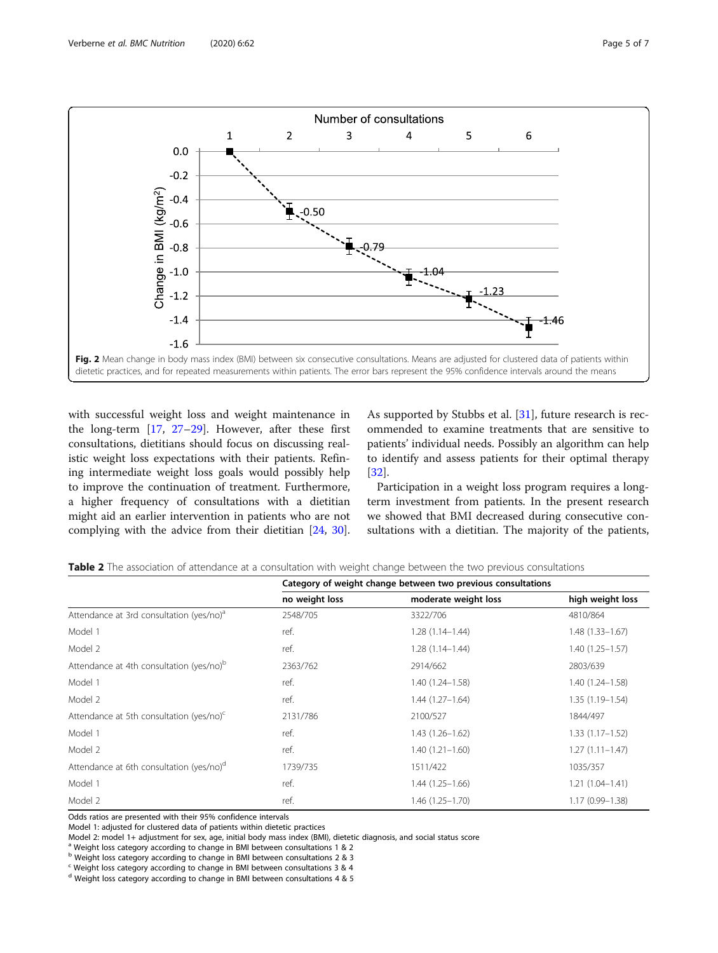<span id="page-4-0"></span>

with successful weight loss and weight maintenance in the long-term [[17,](#page-6-0) [27](#page-6-0)–[29](#page-6-0)]. However, after these first consultations, dietitians should focus on discussing realistic weight loss expectations with their patients. Refining intermediate weight loss goals would possibly help to improve the continuation of treatment. Furthermore, a higher frequency of consultations with a dietitian might aid an earlier intervention in patients who are not complying with the advice from their dietitian [\[24](#page-6-0), [30](#page-6-0)].

As supported by Stubbs et al. [[31\]](#page-6-0), future research is recommended to examine treatments that are sensitive to patients' individual needs. Possibly an algorithm can help to identify and assess patients for their optimal therapy [[32\]](#page-6-0).

Participation in a weight loss program requires a longterm investment from patients. In the present research we showed that BMI decreased during consecutive consultations with a dietitian. The majority of the patients,

|  |  | <b>Table 2</b> The association of attendance at a consultation with weight change between the two previous consultations |  |  |  |  |  |  |
|--|--|--------------------------------------------------------------------------------------------------------------------------|--|--|--|--|--|--|
|  |  |                                                                                                                          |  |  |  |  |  |  |

|                                                      | Category of weight change between two previous consultations |                      |                     |  |  |  |
|------------------------------------------------------|--------------------------------------------------------------|----------------------|---------------------|--|--|--|
|                                                      | no weight loss                                               | moderate weight loss | high weight loss    |  |  |  |
| Attendance at 3rd consultation (yes/no) <sup>a</sup> | 2548/705                                                     | 3322/706             | 4810/864            |  |  |  |
| Model 1                                              | ref.                                                         | $1.28(1.14 - 1.44)$  | $1.48(1.33 - 1.67)$ |  |  |  |
| Model 2                                              | ref.                                                         | $1.28(1.14 - 1.44)$  | $1.40(1.25 - 1.57)$ |  |  |  |
| Attendance at 4th consultation (yes/no) <sup>b</sup> | 2363/762                                                     | 2914/662             | 2803/639            |  |  |  |
| Model 1                                              | ref.                                                         | $1.40(1.24 - 1.58)$  | 1.40 (1.24-1.58)    |  |  |  |
| Model 2                                              | ref.                                                         | $1.44(1.27 - 1.64)$  | $1.35(1.19 - 1.54)$ |  |  |  |
| Attendance at 5th consultation (yes/no) <sup>c</sup> | 2131/786                                                     | 2100/527             | 1844/497            |  |  |  |
| Model 1                                              | ref.                                                         | $1.43(1.26 - 1.62)$  | $1.33(1.17 - 1.52)$ |  |  |  |
| Model 2                                              | ref.                                                         | $1.40(1.21 - 1.60)$  | $1.27(1.11 - 1.47)$ |  |  |  |
| Attendance at 6th consultation (yes/no) <sup>d</sup> | 1739/735                                                     | 1511/422             | 1035/357            |  |  |  |
| Model 1                                              | ref.                                                         | $1.44(1.25 - 1.66)$  | $1.21(1.04 - 1.41)$ |  |  |  |
| Model 2                                              | ref.                                                         | $1.46(1.25 - 1.70)$  | $1.17(0.99 - 1.38)$ |  |  |  |

Odds ratios are presented with their 95% confidence intervals

Model 1: adjusted for clustered data of patients within dietetic practices

Model 2: model 1+ adjustment for sex, age, initial body mass index (BMI), dietetic diagnosis, and social status score

<sup>a</sup> Weight loss category according to change in BMI between consultations 1 & 2

<sup>b</sup> Weight loss category according to change in BMI between consultations 2 & 3

 $c$  Weight loss category according to change in BMI between consultations 3 & 4

<sup>d</sup> Weight loss category according to change in BMI between consultations 4 & 5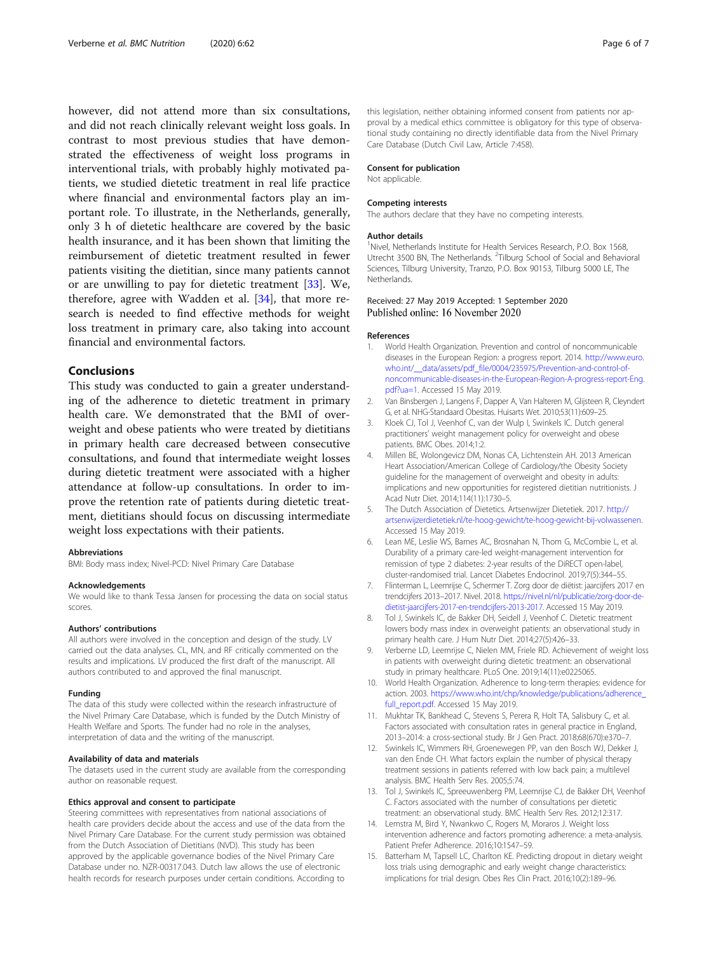<span id="page-5-0"></span>however, did not attend more than six consultations, and did not reach clinically relevant weight loss goals. In contrast to most previous studies that have demonstrated the effectiveness of weight loss programs in interventional trials, with probably highly motivated patients, we studied dietetic treatment in real life practice where financial and environmental factors play an important role. To illustrate, in the Netherlands, generally, only 3 h of dietetic healthcare are covered by the basic health insurance, and it has been shown that limiting the reimbursement of dietetic treatment resulted in fewer patients visiting the dietitian, since many patients cannot or are unwilling to pay for dietetic treatment [[33\]](#page-6-0). We, therefore, agree with Wadden et al. [\[34\]](#page-6-0), that more research is needed to find effective methods for weight loss treatment in primary care, also taking into account financial and environmental factors.

#### Conclusions

This study was conducted to gain a greater understanding of the adherence to dietetic treatment in primary health care. We demonstrated that the BMI of overweight and obese patients who were treated by dietitians in primary health care decreased between consecutive consultations, and found that intermediate weight losses during dietetic treatment were associated with a higher attendance at follow-up consultations. In order to improve the retention rate of patients during dietetic treatment, dietitians should focus on discussing intermediate weight loss expectations with their patients.

#### Abbreviations

BMI: Body mass index; Nivel-PCD: Nivel Primary Care Database

#### Acknowledgements

We would like to thank Tessa Jansen for processing the data on social status scores.

#### Authors' contributions

All authors were involved in the conception and design of the study. LV carried out the data analyses. CL, MN, and RF critically commented on the results and implications. LV produced the first draft of the manuscript. All authors contributed to and approved the final manuscript.

#### Funding

The data of this study were collected within the research infrastructure of the Nivel Primary Care Database, which is funded by the Dutch Ministry of Health Welfare and Sports. The funder had no role in the analyses, interpretation of data and the writing of the manuscript.

#### Availability of data and materials

The datasets used in the current study are available from the corresponding author on reasonable request.

#### Ethics approval and consent to participate

Steering committees with representatives from national associations of health care providers decide about the access and use of the data from the Nivel Primary Care Database. For the current study permission was obtained from the Dutch Association of Dietitians (NVD). This study has been approved by the applicable governance bodies of the Nivel Primary Care Database under no. NZR-00317.043. Dutch law allows the use of electronic health records for research purposes under certain conditions. According to

this legislation, neither obtaining informed consent from patients nor approval by a medical ethics committee is obligatory for this type of observational study containing no directly identifiable data from the Nivel Primary Care Database (Dutch Civil Law, Article 7:458).

#### Consent for publication

Not applicable.

#### Competing interests

The authors declare that they have no competing interests.

#### Author details

<sup>1</sup>Nivel, Netherlands Institute for Health Services Research, P.O. Box 1568, Utrecht 3500 BN, The Netherlands. <sup>2</sup>Tilburg School of Social and Behavioral Sciences, Tilburg University, Tranzo, P.O. Box 90153, Tilburg 5000 LE, The **Netherlands** 

## Received: 27 May 2019 Accepted: 1 September 2020

#### References

- 1. World Health Organization. Prevention and control of noncommunicable diseases in the European Region: a progress report. 2014. [http://www.euro.](http://www.euro.who.int/__data/assets/pdf_file/0004/235975/Prevention-and-control-of-noncommunicable-diseases-in-the-European-Region-A-progress-report-Eng.pdf?ua=1) [who.int/\\_\\_data/assets/pdf\\_file/0004/235975/Prevention-and-control-of](http://www.euro.who.int/__data/assets/pdf_file/0004/235975/Prevention-and-control-of-noncommunicable-diseases-in-the-European-Region-A-progress-report-Eng.pdf?ua=1)[noncommunicable-diseases-in-the-European-Region-A-progress-report-Eng.](http://www.euro.who.int/__data/assets/pdf_file/0004/235975/Prevention-and-control-of-noncommunicable-diseases-in-the-European-Region-A-progress-report-Eng.pdf?ua=1) [pdf?ua=1.](http://www.euro.who.int/__data/assets/pdf_file/0004/235975/Prevention-and-control-of-noncommunicable-diseases-in-the-European-Region-A-progress-report-Eng.pdf?ua=1) Accessed 15 May 2019.
- 2. Van Binsbergen J, Langens F, Dapper A, Van Halteren M, Glijsteen R, Cleyndert G, et al. NHG-Standaard Obesitas. Huisarts Wet. 2010;53(11):609–25.
- 3. Kloek CJ, Tol J, Veenhof C, van der Wulp I, Swinkels IC. Dutch general practitioners' weight management policy for overweight and obese patients. BMC Obes. 2014;1:2.
- 4. Millen BE, Wolongevicz DM, Nonas CA, Lichtenstein AH. 2013 American Heart Association/American College of Cardiology/the Obesity Society guideline for the management of overweight and obesity in adults: implications and new opportunities for registered dietitian nutritionists. J Acad Nutr Diet. 2014;114(11):1730–5.
- 5. The Dutch Association of Dietetics. Artsenwijzer Dietetiek. 2017. [http://](http://artsenwijzerdietetiek.nl/te-hoog-gewicht/te-hoog-gewicht-bij-volwassenen) [artsenwijzerdietetiek.nl/te-hoog-gewicht/te-hoog-gewicht-bij-volwassenen](http://artsenwijzerdietetiek.nl/te-hoog-gewicht/te-hoog-gewicht-bij-volwassenen). Accessed 15 May 2019.
- 6. Lean ME, Leslie WS, Barnes AC, Brosnahan N, Thom G, McCombie L, et al. Durability of a primary care-led weight-management intervention for remission of type 2 diabetes: 2-year results of the DiRECT open-label, cluster-randomised trial. Lancet Diabetes Endocrinol. 2019;7(5):344–55.
- 7. Flinterman L, Leemrijse C, Schermer T. Zorg door de diëtist: jaarcijfers 2017 en trendcijfers 2013–2017. Nivel. 2018. [https://nivel.nl/nl/publicatie/zorg-door-de](https://nivel.nl/nl/publicatie/zorg-door-de-dietist-jaarcijfers-2017-en-trendcijfers-2013-2017)[dietist-jaarcijfers-2017-en-trendcijfers-2013-2017](https://nivel.nl/nl/publicatie/zorg-door-de-dietist-jaarcijfers-2017-en-trendcijfers-2013-2017). Accessed 15 May 2019.
- 8. Tol J, Swinkels IC, de Bakker DH, Seidell J, Veenhof C. Dietetic treatment lowers body mass index in overweight patients: an observational study in primary health care. J Hum Nutr Diet. 2014;27(5):426–33.
- 9. Verberne LD, Leemrijse C, Nielen MM, Friele RD. Achievement of weight loss in patients with overweight during dietetic treatment: an observational study in primary healthcare. PLoS One. 2019;14(11):e0225065.
- 10. World Health Organization. Adherence to long-term therapies: evidence for action. 2003. [https://www.who.int/chp/knowledge/publications/adherence\\_](https://www.who.int/chp/knowledge/publications/adherence_full_report.pdf) [full\\_report.pdf.](https://www.who.int/chp/knowledge/publications/adherence_full_report.pdf) Accessed 15 May 2019.
- 11. Mukhtar TK, Bankhead C, Stevens S, Perera R, Holt TA, Salisbury C, et al. Factors associated with consultation rates in general practice in England, 2013–2014: a cross-sectional study. Br J Gen Pract. 2018;68(670):e370–7.
- 12. Swinkels IC, Wimmers RH, Groenewegen PP, van den Bosch WJ, Dekker J, van den Ende CH. What factors explain the number of physical therapy treatment sessions in patients referred with low back pain; a multilevel analysis. BMC Health Serv Res. 2005;5:74.
- 13. Tol J, Swinkels IC, Spreeuwenberg PM, Leemrijse CJ, de Bakker DH, Veenhof C. Factors associated with the number of consultations per dietetic treatment: an observational study. BMC Health Serv Res. 2012;12:317.
- 14. Lemstra M, Bird Y, Nwankwo C, Rogers M, Moraros J. Weight loss intervention adherence and factors promoting adherence: a meta-analysis. Patient Prefer Adherence. 2016;10:1547–59.
- 15. Batterham M, Tapsell LC, Charlton KE. Predicting dropout in dietary weight loss trials using demographic and early weight change characteristics: implications for trial design. Obes Res Clin Pract. 2016;10(2):189–96.